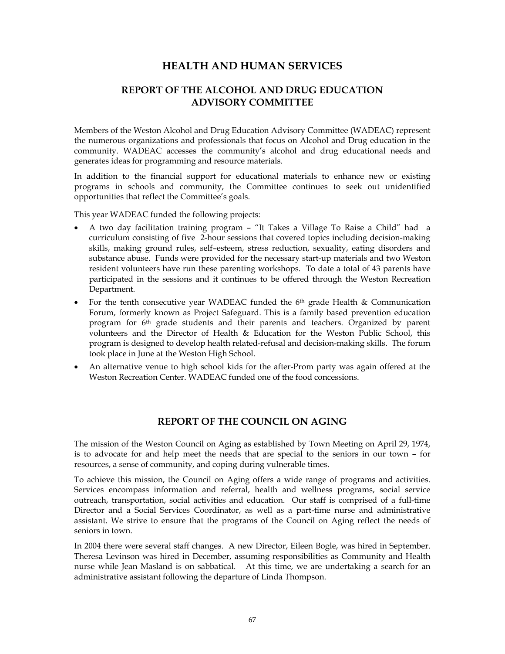# **HEALTH AND HUMAN SERVICES**

# **REPORT OF THE ALCOHOL AND DRUG EDUCATION ADVISORY COMMITTEE**

Members of the Weston Alcohol and Drug Education Advisory Committee (WADEAC) represent the numerous organizations and professionals that focus on Alcohol and Drug education in the community. WADEAC accesses the community's alcohol and drug educational needs and generates ideas for programming and resource materials.

In addition to the financial support for educational materials to enhance new or existing programs in schools and community, the Committee continues to seek out unidentified opportunities that reflect the Committee's goals.

This year WADEAC funded the following projects:

- A two day facilitation training program "It Takes a Village To Raise a Child" had a curriculum consisting of five 2-hour sessions that covered topics including decision-making skills, making ground rules, self–esteem, stress reduction, sexuality, eating disorders and substance abuse. Funds were provided for the necessary start-up materials and two Weston resident volunteers have run these parenting workshops. To date a total of 43 parents have participated in the sessions and it continues to be offered through the Weston Recreation Department.
- For the tenth consecutive year WADEAC funded the  $6<sup>th</sup>$  grade Health & Communication Forum, formerly known as Project Safeguard. This is a family based prevention education program for 6<sup>th</sup> grade students and their parents and teachers. Organized by parent volunteers and the Director of Health & Education for the Weston Public School, this program is designed to develop health related-refusal and decision-making skills. The forum took place in June at the Weston High School.
- An alternative venue to high school kids for the after-Prom party was again offered at the Weston Recreation Center. WADEAC funded one of the food concessions.

## **REPORT OF THE COUNCIL ON AGING**

The mission of the Weston Council on Aging as established by Town Meeting on April 29, 1974, is to advocate for and help meet the needs that are special to the seniors in our town – for resources, a sense of community, and coping during vulnerable times.

To achieve this mission, the Council on Aging offers a wide range of programs and activities. Services encompass information and referral, health and wellness programs, social service outreach, transportation, social activities and education. Our staff is comprised of a full-time Director and a Social Services Coordinator, as well as a part-time nurse and administrative assistant. We strive to ensure that the programs of the Council on Aging reflect the needs of seniors in town.

In 2004 there were several staff changes. A new Director, Eileen Bogle, was hired in September. Theresa Levinson was hired in December, assuming responsibilities as Community and Health nurse while Jean Masland is on sabbatical. At this time, we are undertaking a search for an administrative assistant following the departure of Linda Thompson.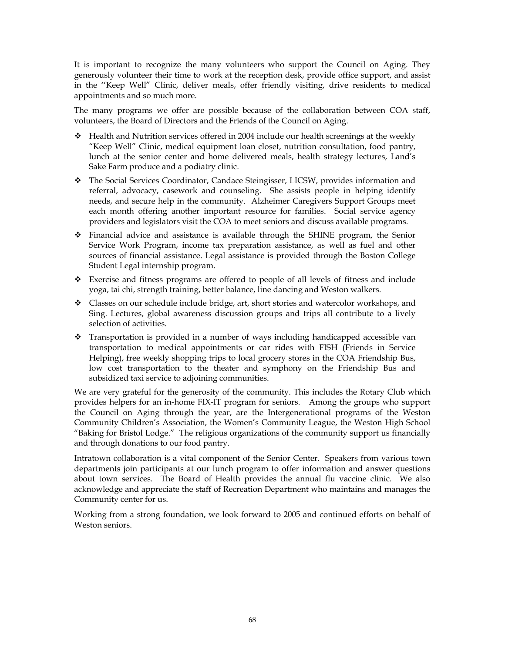It is important to recognize the many volunteers who support the Council on Aging. They generously volunteer their time to work at the reception desk, provide office support, and assist in the ''Keep Well" Clinic, deliver meals, offer friendly visiting, drive residents to medical appointments and so much more.

The many programs we offer are possible because of the collaboration between COA staff, volunteers, the Board of Directors and the Friends of the Council on Aging.

- Health and Nutrition services offered in 2004 include our health screenings at the weekly "Keep Well" Clinic, medical equipment loan closet, nutrition consultation, food pantry, lunch at the senior center and home delivered meals, health strategy lectures, Land's Sake Farm produce and a podiatry clinic.
- The Social Services Coordinator, Candace Steingisser, LICSW, provides information and referral, advocacy, casework and counseling. She assists people in helping identify needs, and secure help in the community. Alzheimer Caregivers Support Groups meet each month offering another important resource for families. Social service agency providers and legislators visit the COA to meet seniors and discuss available programs.
- Financial advice and assistance is available through the SHINE program, the Senior Service Work Program, income tax preparation assistance, as well as fuel and other sources of financial assistance. Legal assistance is provided through the Boston College Student Legal internship program.
- Exercise and fitness programs are offered to people of all levels of fitness and include yoga, tai chi, strength training, better balance, line dancing and Weston walkers.
- Classes on our schedule include bridge, art, short stories and watercolor workshops, and Sing. Lectures, global awareness discussion groups and trips all contribute to a lively selection of activities.
- $\cdot$  Transportation is provided in a number of ways including handicapped accessible van transportation to medical appointments or car rides with FISH (Friends in Service Helping), free weekly shopping trips to local grocery stores in the COA Friendship Bus, low cost transportation to the theater and symphony on the Friendship Bus and subsidized taxi service to adjoining communities.

We are very grateful for the generosity of the community. This includes the Rotary Club which provides helpers for an in-home FIX-IT program for seniors. Among the groups who support the Council on Aging through the year, are the Intergenerational programs of the Weston Community Children's Association, the Women's Community League, the Weston High School "Baking for Bristol Lodge." The religious organizations of the community support us financially and through donations to our food pantry.

Intratown collaboration is a vital component of the Senior Center. Speakers from various town departments join participants at our lunch program to offer information and answer questions about town services. The Board of Health provides the annual flu vaccine clinic. We also acknowledge and appreciate the staff of Recreation Department who maintains and manages the Community center for us.

Working from a strong foundation, we look forward to 2005 and continued efforts on behalf of Weston seniors.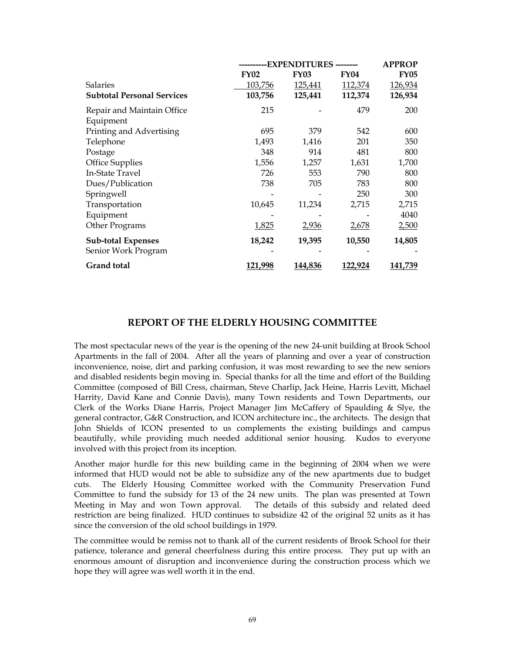|                                   |             | ----EXPENDITURES |             |             |  |
|-----------------------------------|-------------|------------------|-------------|-------------|--|
|                                   | <b>FY02</b> | <b>FY03</b>      | <b>FY04</b> | <b>FY05</b> |  |
| Salaries                          | 103,756     | 125,441          | 112,374     | 126,934     |  |
| <b>Subtotal Personal Services</b> | 103,756     | 125,441          | 112,374     | 126,934     |  |
| Repair and Maintain Office        | 215         |                  | 479         | 200         |  |
| Equipment                         |             |                  |             |             |  |
| Printing and Advertising          | 695         | 379              | 542         | 600         |  |
| Telephone                         | 1,493       | 1,416            | 201         | 350         |  |
| Postage                           | 348         | 914              | 481         | 800         |  |
| <b>Office Supplies</b>            | 1,556       | 1,257            | 1,631       | 1,700       |  |
| In-State Travel                   | 726         | 553              | 790         | 800         |  |
| Dues/Publication                  | 738         | 705              | 783         | 800         |  |
| Springwell                        |             |                  | 250         | 300         |  |
| Transportation                    | 10,645      | 11,234           | 2,715       | 2,715       |  |
| Equipment                         |             |                  |             | 4040        |  |
| Other Programs                    | 1,825       | 2,936            | 2,678       | 2,500       |  |
| <b>Sub-total Expenses</b>         | 18,242      | 19,395           | 10,550      | 14,805      |  |
| Senior Work Program               |             |                  |             |             |  |
| <b>Grand</b> total                | 121,998     | 144,836          | 122,924     | 141,739     |  |

### **REPORT OF THE ELDERLY HOUSING COMMITTEE**

The most spectacular news of the year is the opening of the new 24-unit building at Brook School Apartments in the fall of 2004. After all the years of planning and over a year of construction inconvenience, noise, dirt and parking confusion, it was most rewarding to see the new seniors and disabled residents begin moving in. Special thanks for all the time and effort of the Building Committee (composed of Bill Cress, chairman, Steve Charlip, Jack Heine, Harris Levitt, Michael Harrity, David Kane and Connie Davis), many Town residents and Town Departments, our Clerk of the Works Diane Harris, Project Manager Jim McCaffery of Spaulding & Slye, the general contractor, G&R Construction, and ICON architecture inc., the architects. The design that John Shields of ICON presented to us complements the existing buildings and campus beautifully, while providing much needed additional senior housing. Kudos to everyone involved with this project from its inception.

Another major hurdle for this new building came in the beginning of 2004 when we were informed that HUD would not be able to subsidize any of the new apartments due to budget cuts. The Elderly Housing Committee worked with the Community Preservation Fund Committee to fund the subsidy for 13 of the 24 new units. The plan was presented at Town Meeting in May and won Town approval. The details of this subsidy and related deed restriction are being finalized. HUD continues to subsidize 42 of the original 52 units as it has since the conversion of the old school buildings in 1979.

The committee would be remiss not to thank all of the current residents of Brook School for their patience, tolerance and general cheerfulness during this entire process. They put up with an enormous amount of disruption and inconvenience during the construction process which we hope they will agree was well worth it in the end.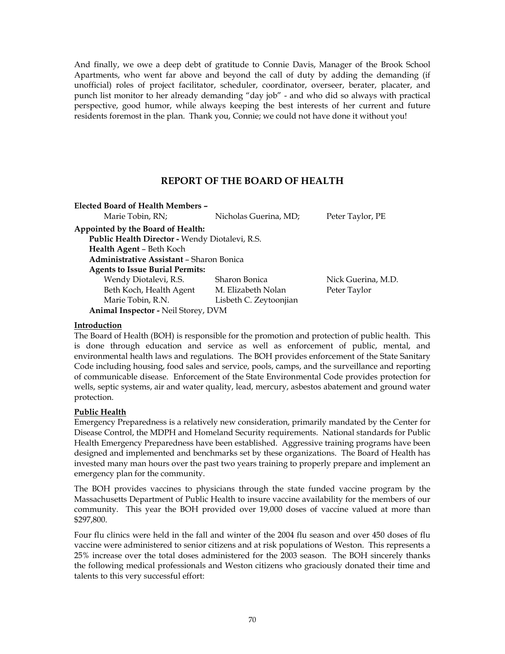And finally, we owe a deep debt of gratitude to Connie Davis, Manager of the Brook School Apartments, who went far above and beyond the call of duty by adding the demanding (if unofficial) roles of project facilitator, scheduler, coordinator, overseer, berater, placater, and punch list monitor to her already demanding "day job" - and who did so always with practical perspective, good humor, while always keeping the best interests of her current and future residents foremost in the plan. Thank you, Connie; we could not have done it without you!

## **REPORT OF THE BOARD OF HEALTH**

| Elected Board of Health Members –              |                        |                    |
|------------------------------------------------|------------------------|--------------------|
| Marie Tobin, RN;                               | Nicholas Guerina, MD;  | Peter Taylor, PE   |
| Appointed by the Board of Health:              |                        |                    |
| Public Health Director - Wendy Diotalevi, R.S. |                        |                    |
| Health Agent - Beth Koch                       |                        |                    |
| Administrative Assistant - Sharon Bonica       |                        |                    |
| <b>Agents to Issue Burial Permits:</b>         |                        |                    |
| Wendy Diotalevi, R.S.                          | Sharon Bonica          | Nick Guerina, M.D. |
| Beth Koch, Health Agent                        | M. Elizabeth Nolan     | Peter Taylor       |
| Marie Tobin, R.N.                              | Lisbeth C. Zeytoonjian |                    |
| Animal Inspector - Neil Storey, DVM            |                        |                    |

### **Introduction**

The Board of Health (BOH) is responsible for the promotion and protection of public health. This is done through education and service as well as enforcement of public, mental, and environmental health laws and regulations. The BOH provides enforcement of the State Sanitary Code including housing, food sales and service, pools, camps, and the surveillance and reporting of communicable disease. Enforcement of the State Environmental Code provides protection for wells, septic systems, air and water quality, lead, mercury, asbestos abatement and ground water protection.

### **Public Health**

Emergency Preparedness is a relatively new consideration, primarily mandated by the Center for Disease Control, the MDPH and Homeland Security requirements. National standards for Public Health Emergency Preparedness have been established. Aggressive training programs have been designed and implemented and benchmarks set by these organizations. The Board of Health has invested many man hours over the past two years training to properly prepare and implement an emergency plan for the community.

The BOH provides vaccines to physicians through the state funded vaccine program by the Massachusetts Department of Public Health to insure vaccine availability for the members of our community. This year the BOH provided over 19,000 doses of vaccine valued at more than \$297,800.

Four flu clinics were held in the fall and winter of the 2004 flu season and over 450 doses of flu vaccine were administered to senior citizens and at risk populations of Weston. This represents a 25% increase over the total doses administered for the 2003 season. The BOH sincerely thanks the following medical professionals and Weston citizens who graciously donated their time and talents to this very successful effort: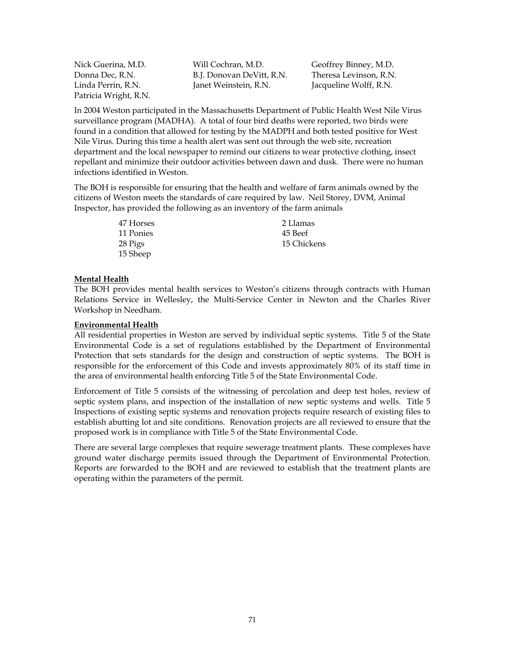Patricia Wright, R.N.

Nick Guerina, M.D. Will Cochran, M.D. Geoffrey Binney, M.D. Donna Dec, R.N. B.J. Donovan DeVitt, R.N. Theresa Levinson, R.N. Linda Perrin, R.N. Janet Weinstein, R.N. Jacqueline Wolff, R.N.

In 2004 Weston participated in the Massachusetts Department of Public Health West Nile Virus surveillance program (MADHA). A total of four bird deaths were reported, two birds were found in a condition that allowed for testing by the MADPH and both tested positive for West Nile Virus. During this time a health alert was sent out through the web site, recreation department and the local newspaper to remind our citizens to wear protective clothing, insect repellant and minimize their outdoor activities between dawn and dusk. There were no human infections identified in Weston.

The BOH is responsible for ensuring that the health and welfare of farm animals owned by the citizens of Weston meets the standards of care required by law. Neil Storey, DVM, Animal Inspector, has provided the following as an inventory of the farm animals

> 47 Horses 11 Ponies 28 Pigs 15 Sheep 2 Llamas 45 Beef 15 Chickens

#### **Mental Health**

The BOH provides mental health services to Weston's citizens through contracts with Human Relations Service in Wellesley, the Multi-Service Center in Newton and the Charles River Workshop in Needham.

#### **Environmental Health**

All residential properties in Weston are served by individual septic systems. Title 5 of the State Environmental Code is a set of regulations established by the Department of Environmental Protection that sets standards for the design and construction of septic systems. The BOH is responsible for the enforcement of this Code and invests approximately 80% of its staff time in the area of environmental health enforcing Title 5 of the State Environmental Code.

Enforcement of Title 5 consists of the witnessing of percolation and deep test holes, review of septic system plans, and inspection of the installation of new septic systems and wells. Title 5 Inspections of existing septic systems and renovation projects require research of existing files to establish abutting lot and site conditions. Renovation projects are all reviewed to ensure that the proposed work is in compliance with Title 5 of the State Environmental Code.

There are several large complexes that require sewerage treatment plants. These complexes have ground water discharge permits issued through the Department of Environmental Protection. Reports are forwarded to the BOH and are reviewed to establish that the treatment plants are operating within the parameters of the permit.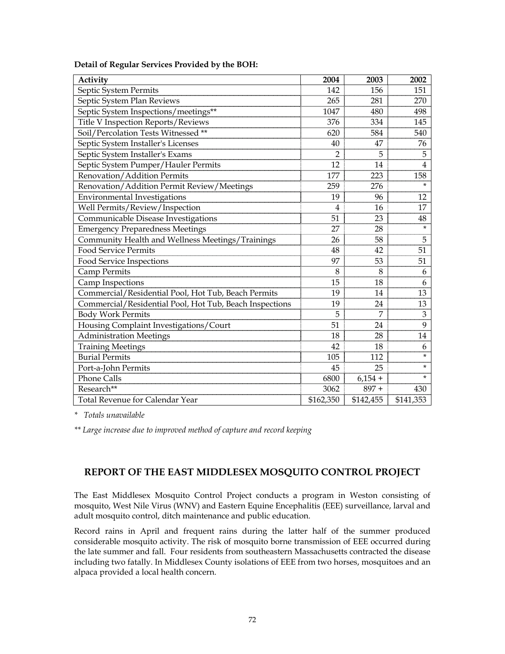| Activity                                                | 2004           | 2003      | 2002           |
|---------------------------------------------------------|----------------|-----------|----------------|
| Septic System Permits                                   | 142            | 156       | 151            |
| Septic System Plan Reviews                              | 265            | 281       | 270            |
| Septic System Inspections/meetings**                    | 1047           | 480       | 498            |
| Title V Inspection Reports/Reviews                      | 376            | 334       | 145            |
| Soil/Percolation Tests Witnessed **                     | 620            | 584       | 540            |
| Septic System Installer's Licenses                      | 40             | 47        | 76             |
| Septic System Installer's Exams                         | $\overline{2}$ | 5         | 5              |
| Septic System Pumper/Hauler Permits                     | 12             | 14        | $\overline{4}$ |
| Renovation/Addition Permits                             | 177            | 223       | 158            |
| Renovation/Addition Permit Review/Meetings              | 259            | 276       | $\star$        |
| Environmental Investigations                            | 19             | 96        | 12             |
| Well Permits/Review/Inspection                          | $\overline{4}$ | 16        | 17             |
| Communicable Disease Investigations                     | 51             | 23        | 48             |
| <b>Emergency Preparedness Meetings</b>                  | 27             | 28        | *              |
| Community Health and Wellness Meetings/Trainings        | 26             | 58        | 5              |
| <b>Food Service Permits</b>                             | 48             | 42        | 51             |
| Food Service Inspections                                | 97             | 53        | 51             |
| <b>Camp Permits</b>                                     | 8              | 8         | 6              |
| Camp Inspections                                        | 15             | 18        | 6              |
| Commercial/Residential Pool, Hot Tub, Beach Permits     | 19             | 14        | 13             |
| Commercial/Residential Pool, Hot Tub, Beach Inspections | 19             | 24        | 13             |
| <b>Body Work Permits</b>                                | 5              | 7         | 3              |
| Housing Complaint Investigations/Court                  | 51             | 24        | 9              |
| <b>Administration Meetings</b>                          | 18             | 28        | 14             |
| <b>Training Meetings</b>                                | 42             | 18        | 6              |
| <b>Burial Permits</b>                                   | 105            | 112       | *              |
| Port-a-John Permits                                     | 45             | 25        | *              |
| Phone Calls                                             | 6800           | $6,154 +$ | $\star$        |
| Research**                                              | 3062           | $897 +$   | 430            |
| Total Revenue for Calendar Year                         | \$162,350      | \$142,455 | \$141,353      |

### **Detail of Regular Services Provided by the BOH:**

*\* Totals unavailable* 

*\*\* Large increase due to improved method of capture and record keeping* 

# **REPORT OF THE EAST MIDDLESEX MOSQUITO CONTROL PROJECT**

The East Middlesex Mosquito Control Project conducts a program in Weston consisting of mosquito, West Nile Virus (WNV) and Eastern Equine Encephalitis (EEE) surveillance, larval and adult mosquito control, ditch maintenance and public education.

Record rains in April and frequent rains during the latter half of the summer produced considerable mosquito activity. The risk of mosquito borne transmission of EEE occurred during the late summer and fall. Four residents from southeastern Massachusetts contracted the disease including two fatally. In Middlesex County isolations of EEE from two horses, mosquitoes and an alpaca provided a local health concern.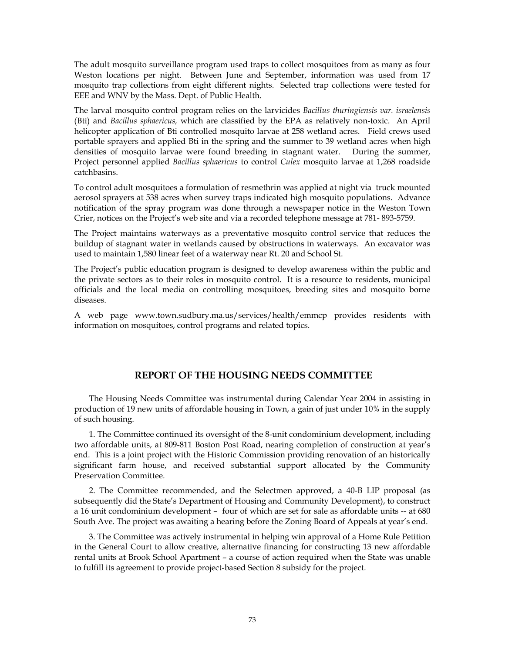The adult mosquito surveillance program used traps to collect mosquitoes from as many as four Weston locations per night. Between June and September, information was used from 17 mosquito trap collections from eight different nights. Selected trap collections were tested for EEE and WNV by the Mass. Dept. of Public Health.

The larval mosquito control program relies on the larvicides *Bacillus thuringiensis var. israelensis*  (Bti) and *Bacillus sphaericus,* which are classified by the EPA as relatively non-toxic. An April helicopter application of Bti controlled mosquito larvae at 258 wetland acres. Field crews used portable sprayers and applied Bti in the spring and the summer to 39 wetland acres when high densities of mosquito larvae were found breeding in stagnant water. During the summer, Project personnel applied *Bacillus sphaericus* to control *Culex* mosquito larvae at 1,268 roadside catchbasins.

To control adult mosquitoes a formulation of resmethrin was applied at night via truck mounted aerosol sprayers at 538 acres when survey traps indicated high mosquito populations. Advance notification of the spray program was done through a newspaper notice in the Weston Town Crier, notices on the Project's web site and via a recorded telephone message at 781- 893-5759.

The Project maintains waterways as a preventative mosquito control service that reduces the buildup of stagnant water in wetlands caused by obstructions in waterways. An excavator was used to maintain 1,580 linear feet of a waterway near Rt. 20 and School St.

The Project's public education program is designed to develop awareness within the public and the private sectors as to their roles in mosquito control. It is a resource to residents, municipal officials and the local media on controlling mosquitoes, breeding sites and mosquito borne diseases.

A web page www.town.sudbury.ma.us/services/health/emmcp provides residents with information on mosquitoes, control programs and related topics.

## **REPORT OF THE HOUSING NEEDS COMMITTEE**

 The Housing Needs Committee was instrumental during Calendar Year 2004 in assisting in production of 19 new units of affordable housing in Town, a gain of just under 10% in the supply of such housing.

 1. The Committee continued its oversight of the 8-unit condominium development, including two affordable units, at 809-811 Boston Post Road, nearing completion of construction at year's end. This is a joint project with the Historic Commission providing renovation of an historically significant farm house, and received substantial support allocated by the Community Preservation Committee.

 2. The Committee recommended, and the Selectmen approved, a 40-B LIP proposal (as subsequently did the State's Department of Housing and Community Development), to construct a 16 unit condominium development – four of which are set for sale as affordable units -- at 680 South Ave. The project was awaiting a hearing before the Zoning Board of Appeals at year's end.

 3. The Committee was actively instrumental in helping win approval of a Home Rule Petition in the General Court to allow creative, alternative financing for constructing 13 new affordable rental units at Brook School Apartment – a course of action required when the State was unable to fulfill its agreement to provide project-based Section 8 subsidy for the project.